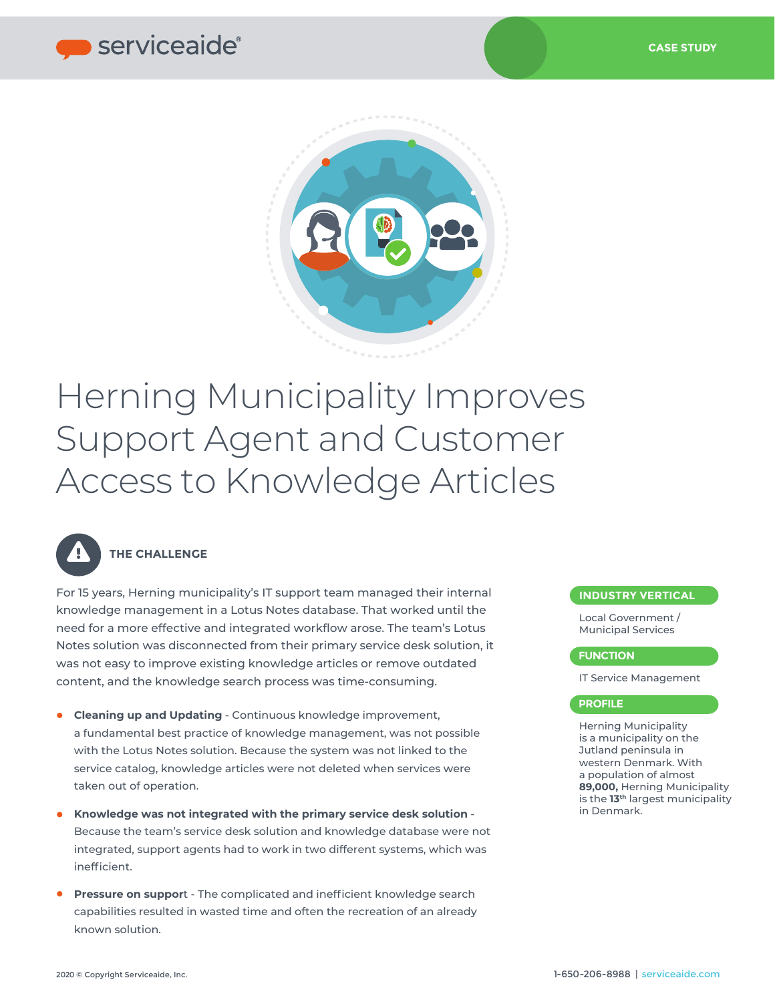

# Herning Municipality Improves Support Agent and Customer Access to Knowledge Articles



## **THE CHALLENGE**

For 15 years, Herning municipality's IT support team managed their internal knowledge management in a Lotus Notes database. That worked until the need for a more effective and integrated workflow arose. The team's Lotus Notes solution was disconnected from their primary service desk solution, it was not easy to improve existing knowledge articles or remove outdated content, and the knowledge search process was time-consuming.

- $\bullet$ **Cleaning up and Updating** - Continuous knowledge improvement, a fundamental best practice of knowledge management, was not possible with the Lotus Notes solution. Because the system was not linked to the service catalog, knowledge articles were not deleted when services were taken out of operation.
- **Knowledge was not integrated with the primary service desk solution**  $\bullet$ Because the team's service desk solution and knowledge database were not integrated, support agents had to work in two different systems, which was inefficient.
- **Pressure on suppor**t The complicated and inefficient knowledge search capabilities resulted in wasted time and often the recreation of an already known solution.

#### **INDUSTRY VERTICAL**

Local Government / Municipal Services

#### **FUNCTION**

IT Service Management

#### **PROFILE**

Herning Municipality is a municipality on the Jutland peninsula in western Denmark. With a population of almost **89,000,** Herning Municipality is the **13th** largest municipality in Denmark.